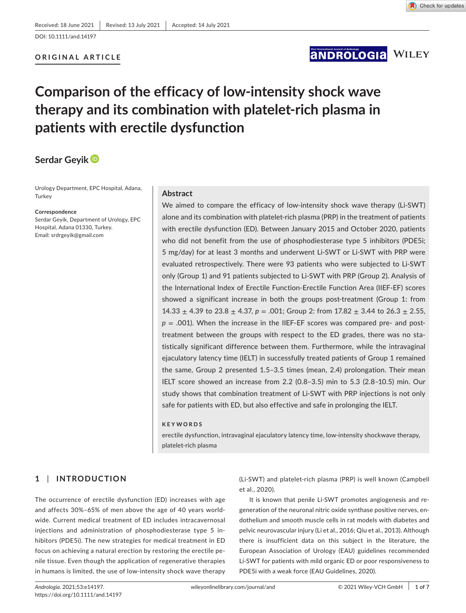DOI: 10.1111/and.14197

# **ORIGINAL ARTICLE**

# **ANDROLOGIA WILEY**

# **Comparison of the efficacy of low-intensity shock wave therapy and its combination with platelet-rich plasma in patients with erectile dysfunction**

# **Serdar Geyi[k](https://orcid.org/0000-0002-8712-7682)**

Urology Department, EPC Hospital, Adana, **Turkey** 

#### **Correspondence**

Serdar Geyik, Department of Urology, EPC Hospital, Adana 01330, Turkey. Email: [srdrgeyik@gmail.com](mailto:srdrgeyik@gmail.com)

#### **Abstract**

We aimed to compare the efficacy of low-intensity shock wave therapy (Li-SWT) alone and its combination with platelet-rich plasma (PRP) in the treatment of patients with erectile dysfunction (ED). Between January 2015 and October 2020, patients who did not benefit from the use of phosphodiesterase type 5 inhibitors (PDE5i; 5 mg/day) for at least 3 months and underwent Li-SWT or Li-SWT with PRP were evaluated retrospectively. There were 93 patients who were subjected to Li-SWT only (Group 1) and 91 patients subjected to Li-SWT with PRP (Group 2). Analysis of the International Index of Erectile Function-Erectile Function Area (IIEF-EF) scores showed a significant increase in both the groups post-treatment (Group 1: from 14.33  $\pm$  4.39 to 23.8  $\pm$  4.37,  $p = .001$ ; Group 2: from 17.82  $\pm$  3.44 to 26.3  $\pm$  2.55, *p* = .001). When the increase in the IIEF-EF scores was compared pre- and posttreatment between the groups with respect to the ED grades, there was no statistically significant difference between them. Furthermore, while the intravaginal ejaculatory latency time (IELT) in successfully treated patients of Group 1 remained the same, Group 2 presented 1.5–3.5 times (mean, 2.4) prolongation. Their mean IELT score showed an increase from 2.2 (0.8–3.5) min to 5.3 (2.8–10.5) min. Our study shows that combination treatment of Li-SWT with PRP injections is not only safe for patients with ED, but also effective and safe in prolonging the IELT.

#### **KEYWORDS**

erectile dysfunction, intravaginal ejaculatory latency time, low-intensity shockwave therapy, platelet-rich plasma

# **1** | **INTRODUCTION**

The occurrence of erectile dysfunction (ED) increases with age and affects 30%–65% of men above the age of 40 years worldwide. Current medical treatment of ED includes intracavernosal injections and administration of phosphodiesterase type 5 inhibitors (PDE5i). The new strategies for medical treatment in ED focus on achieving a natural erection by restoring the erectile penile tissue. Even though the application of regenerative therapies in humans is limited, the use of low-intensity shock wave therapy

(Li-SWT) and platelet-rich plasma (PRP) is well known (Campbell et al., 2020).

It is known that penile Li-SWT promotes angiogenesis and regeneration of the neuronal nitric oxide synthase positive nerves, endothelium and smooth muscle cells in rat models with diabetes and pelvic neurovascular injury (Li et al., 2016; Qiu et al., 2013). Although there is insufficient data on this subject in the literature, the European Association of Urology (EAU) guidelines recommended Li-SWT for patients with mild organic ED or poor responsiveness to PDE5i with a weak force (EAU Guidelines, 2020).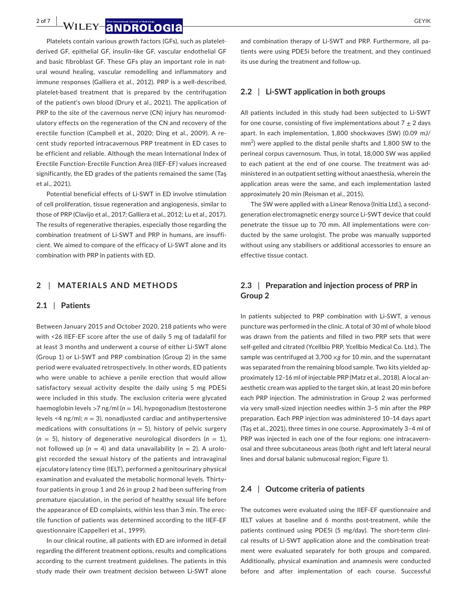**2** of 7 **and FOLOGIS** *CEYIK GEYIK GEYIK* 

Platelets contain various growth factors (GFs), such as plateletderived GF, epithelial GF, insulin-like GF, vascular endothelial GF and basic fibroblast GF. These GFs play an important role in natural wound healing, vascular remodelling and inflammatory and immune responses (Galliera et al., 2012). PRP is a well-described, platelet-based treatment that is prepared by the centrifugation of the patient's own blood (Drury et al., 2021). The application of PRP to the site of the cavernous nerve (CN) injury has neuromodulatory effects on the regeneration of the CN and recovery of the erectile function (Campbell et al., 2020; Ding et al., 2009). A recent study reported intracavernous PRP treatment in ED cases to be efficient and reliable. Although the mean International Index of Erectile Function-Erectile Function Area (IIEF-EF) values increased significantly, the ED grades of the patients remained the same (Taş et al., 2021).

Potential beneficial effects of Li-SWT in ED involve stimulation of cell proliferation, tissue regeneration and angiogenesis, similar to those of PRP (Clavijo et al., 2017; Galliera et al., 2012; Lu et al., 2017). The results of regenerative therapies, especially those regarding the combination treatment of Li-SWT and PRP in humans, are insufficient. We aimed to compare of the efficacy of Li-SWT alone and its combination with PRP in patients with ED.

#### **2** | **MATERIALS AND METHODS**

#### **2.1** | **Patients**

Between January 2015 and October 2020, 218 patients who were with ˂26 IIEF-EF score after the use of daily 5 mg of tadalafil for at least 3 months and underwent a course of either Li-SWT alone (Group 1) or Li-SWT and PRP combination (Group 2) in the same period were evaluated retrospectively. In other words, ED patients who were unable to achieve a penile erection that would allow satisfactory sexual activity despite the daily using 5 mg PDE5i were included in this study. The exclusion criteria were glycated haemoglobin levels >7 ng/ml (*n* = 14), hypogonadism (testosterone levels ˂4 ng/ml; *n* = 3), nonadjusted cardiac and antihypertensive medications with consultations ( $n = 5$ ), history of pelvic surgery  $(n = 5)$ , history of degenerative neurological disorders  $(n = 1)$ , not followed up  $(n = 4)$  and data unavailability  $(n = 2)$ . A urologist recorded the sexual history of the patients and intravaginal ejaculatory latency time (IELT), performed a genitourinary physical examination and evaluated the metabolic hormonal levels. Thirtyfour patients in group 1 and 26 in group 2 had been suffering from premature ejaculation, in the period of healthy sexual life before the appearance of ED complaints, within less than 3 min. The erectile function of patients was determined according to the IIEF-EF questionnaire (Cappelleri et al., 1999).

In our clinical routine, all patients with ED are informed in detail regarding the different treatment options, results and complications according to the current treatment guidelines. The patients in this study made their own treatment decision between Li-SWT alone

and combination therapy of Li-SWT and PRP. Furthermore, all patients were using PDE5i before the treatment, and they continued its use during the treatment and follow-up.

## **2.2** | **Li-SWT application in both groups**

All patients included in this study had been subjected to Li-SWT for one course, consisting of five implementations about  $7 \pm 2$  days apart. In each implementation, 1,800 shockwaves (SW) (0.09 mJ/  $mm<sup>2</sup>$ ) were applied to the distal penile shafts and 1,800 SW to the perineal corpus cavernosum. Thus, in total, 18,000 SW was applied to each patient at the end of one course. The treatment was administered in an outpatient setting without anaesthesia, wherein the application areas were the same, and each implementation lasted approximately 20 min (Reisman et al., 2015).

The SW were applied with a Linear Renova (Initia Ltd.), a secondgeneration electromagnetic energy source Li-SWT device that could penetrate the tissue up to 70 mm. All implementations were conducted by the same urologist. The probe was manually supported without using any stabilisers or additional accessories to ensure an effective tissue contact.

# **2.3** | **Preparation and injection process of PRP in Group 2**

In patients subjected to PRP combination with Li-SWT, a venous puncture was performed in the clinic. A total of 30 ml of whole blood was drawn from the patients and filled in two PRP sets that were self-gelled and citrated (Ycellbio PRP, Ycellbio Medical Co. Ltd.). The sample was centrifuged at 3,700 ×*g* for 10 min, and the supernatant was separated from the remaining blood sample. Two kits yielded approximately 12–16 ml of injectable PRP (Matz et al., 2018). A local anaesthetic cream was applied to the target skin, at least 20 min before each PRP injection. The administration in Group 2 was performed via very small-sized injection needles within 3–5 min after the PRP preparation. Each PRP injection was administered 10–14 days apart (Taş et al., 2021), three times in one course. Approximately 3–4 ml of PRP was injected in each one of the four regions: one intracavernosal and three subcutaneous areas (both right and left lateral neural lines and dorsal balanic submucosal region; Figure 1).

#### **2.4** | **Outcome criteria of patients**

The outcomes were evaluated using the IIEF-EF questionnaire and IELT values at baseline and 6 months post-treatment, while the patients continued using PDE5i (5 mg/day). The short-term clinical results of Li-SWT application alone and the combination treatment were evaluated separately for both groups and compared. Additionally, physical examination and anamnesis were conducted before and after implementation of each course. Successful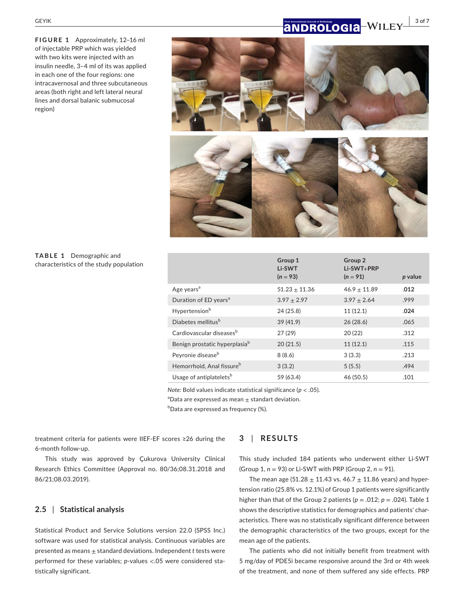**FIGURE 1** Approximately, 12–16 ml of injectable PRP which was yielded with two kits were injected with an insulin needle, 3–4 ml of its was applied in each one of the four regions: one intracavernosal and three subcutaneous areas (both right and left lateral neural lines and dorsal balanic submucosal region)

# **<b>a NDROLOGIA** WILEY 3 of 7



## **TABLE 1** Demographic and characteristics of the study population

|                                           | Group 1<br>Li-SWT<br>$(n = 93)$ | Group <sub>2</sub><br>Li-SWT+PRP<br>$(n = 91)$ | p value |
|-------------------------------------------|---------------------------------|------------------------------------------------|---------|
| Age years <sup>a</sup>                    | $51.23 \pm 11.36$               | $46.9 + 11.89$                                 | .012    |
| Duration of ED years <sup>a</sup>         | $3.97 \pm 2.97$                 | $3.97 + 2.64$                                  | .999    |
| Hypertension <sup>b</sup>                 | 24 (25.8)                       | 11(12.1)                                       | .024    |
| Diabetes mellitus <sup>b</sup>            | 39(41.9)                        | 26(28.6)                                       | .065    |
| Cardiovascular diseases <sup>b</sup>      | 27(29)                          | 20(22)                                         | .312    |
| Benign prostatic hyperplasia <sup>b</sup> | 20(21.5)                        | 11(12.1)                                       | .115    |
| Peyronie disease <sup>b</sup>             | 8(8.6)                          | 3(3.3)                                         | .213    |
| Hemorrhoid, Anal fissure <sup>b</sup>     | 3(3.2)                          | 5(5.5)                                         | .494    |
| Usage of antiplatelets <sup>b</sup>       | 59 (63.4)                       | 46 (50.5)                                      | .101    |

*Note:* Bold values indicate statistical significance (*p* < .05).

 ${}^{a}$ Data are expressed as mean  $\pm$  standart deviation.

b Data are expressed as frequency (%).

treatment criteria for patients were IIEF-EF scores ≥26 during the 6-month follow-up.

This study was approved by Çukurova University Clinical Research Ethics Committee (Approval no. 80/36;08.31.2018 and 86/21;08.03.2019).

## **2.5** | **Statistical analysis**

Statistical Product and Service Solutions version 22.0 (SPSS Inc.) software was used for statistical analysis. Continuous variables are presented as means ± standard deviations. Independent *t* tests were performed for these variables; *p*-values <.05 were considered statistically significant.

# **3** | **RESULTS**

This study included 184 patients who underwent either Li-SWT (Group 1, *n* = 93) or Li-SWT with PRP (Group 2, *n* = 91).

The mean age (51.28  $\pm$  11.43 vs. 46.7  $\pm$  11.86 years) and hypertension ratio (25.8% vs. 12.1%) of Group 1 patients were significantly higher than that of the Group 2 patients ( $p = .012$ ;  $p = .024$ ). Table 1 shows the descriptive statistics for demographics and patients' characteristics. There was no statistically significant difference between the demographic characteristics of the two groups, except for the mean age of the patients.

The patients who did not initially benefit from treatment with 5 mg/day of PDE5i became responsive around the 3rd or 4th week of the treatment, and none of them suffered any side effects. PRP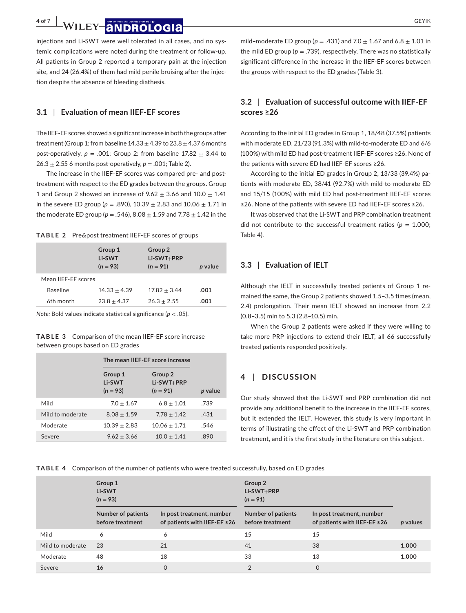**4 of 7 | WILEY ANDROLOGIA** GEYIK

injections and Li-SWT were well tolerated in all cases, and no systemic complications were noted during the treatment or follow-up. All patients in Group 2 reported a temporary pain at the injection site, and 24 (26.4%) of them had mild penile bruising after the injection despite the absence of bleeding diathesis.

#### **3.1** | **Evaluation of mean IIEF-EF scores**

The IIEF-EF scores showed a significant increase in both the groups after treatment (Group 1: from baseline  $14.33 \pm 4.39$  to  $23.8 \pm 4.37$  6 months post-operatively,  $p = .001$ ; Group 2: from baseline  $17.82 \pm 3.44$  to  $26.3 \pm 2.55$  6 months post-operatively,  $p = .001$ ; Table 2).

The increase in the IIEF-EF scores was compared pre- and posttreatment with respect to the ED grades between the groups. Group 1 and Group 2 showed an increase of  $9.62 \pm 3.66$  and  $10.0 \pm 1.41$ in the severe ED group ( $p = .890$ ),  $10.39 \pm 2.83$  and  $10.06 \pm 1.71$  in the moderate ED group ( $p = .546$ ),  $8.08 \pm 1.59$  and  $7.78 \pm 1.42$  in the

**TABLE 2** Pre&post treatment IIEF-EF scores of groups

|                     | Group 1<br>Li-SWT<br>$(n = 93)$ | Group 2<br>Li-SWT+PRP<br>$(n = 91)$ | p value |
|---------------------|---------------------------------|-------------------------------------|---------|
| Mean IIFF-FF scores |                                 |                                     |         |
| <b>Baseline</b>     | $14.33 + 4.39$                  | $17.82 + 3.44$                      | .001    |
| 6th month           | $23.8 + 4.37$                   | $26.3 + 2.55$                       | .001    |

*Note:* Bold values indicate statistical significance (*p* < .05).

**TABLE 3** Comparison of the mean IIEF-EF score increase between groups based on ED grades

|                  | The mean IIEF-EF score increase |                                                |         |  |
|------------------|---------------------------------|------------------------------------------------|---------|--|
|                  | Group 1<br>Li-SWT<br>$(n = 93)$ | Group <sub>2</sub><br>Li-SWT+PRP<br>$(n = 91)$ | p value |  |
| Mild             | $7.0 + 1.67$                    | $6.8 \pm 1.01$                                 | .739    |  |
| Mild to moderate | $8.08 + 1.59$                   | $7.78 \pm 1.42$                                | .431    |  |
| Moderate         | $10.39 + 2.83$                  | $10.06 + 1.71$                                 | .546    |  |
| Severe           | $9.62 + 3.66$                   | $10.0 + 1.41$                                  | .890    |  |

mild–moderate ED group ( $p = .431$ ) and  $7.0 + 1.67$  and  $6.8 + 1.01$  in the mild ED group ( $p = .739$ ), respectively. There was no statistically significant difference in the increase in the IIEF-EF scores between the groups with respect to the ED grades (Table 3).

# **3.2** | **Evaluation of successful outcome with IIEF-EF scores ≥26**

According to the initial ED grades in Group 1, 18/48 (37.5%) patients with moderate ED, 21/23 (91.3%) with mild-to-moderate ED and 6/6 (100%) with mild ED had post-treatment IIEF-EF scores ≥26. None of the patients with severe ED had IIEF-EF scores ≥26.

According to the initial ED grades in Group 2, 13/33 (39.4%) patients with moderate ED, 38/41 (92.7%) with mild-to-moderate ED and 15/15 (100%) with mild ED had post-treatment IIEF-EF scores ≥26. None of the patients with severe ED had IIEF-EF scores ≥26.

It was observed that the Li-SWT and PRP combination treatment did not contribute to the successful treatment ratios ( $p = 1.000$ ; Table 4).

# **3.3** | **Evaluation of IELT**

Although the IELT in successfully treated patients of Group 1 remained the same, the Group 2 patients showed 1.5–3.5 times (mean, 2.4) prolongation. Their mean IELT showed an increase from 2.2 (0.8–3.5) min to 5.3 (2.8–10.5) min.

When the Group 2 patients were asked if they were willing to take more PRP injections to extend their IELT, all 66 successfully treated patients responded positively.

# **4** | **DISCUSSION**

Our study showed that the Li-SWT and PRP combination did not provide any additional benefit to the increase in the IIEF-EF scores, but it extended the IELT. However, this study is very important in terms of illustrating the effect of the Li-SWT and PRP combination treatment, and it is the first study in the literature on this subject.

**TABLE 4** Comparison of the number of patients who were treated successfully, based on ED grades

|                  | Group 1<br>Li-SWT<br>$(n = 93)$               |                                                                 | Group 2<br>Li-SWT+PRP<br>$(n = 91)$           |                                                                 |          |
|------------------|-----------------------------------------------|-----------------------------------------------------------------|-----------------------------------------------|-----------------------------------------------------------------|----------|
|                  | <b>Number of patients</b><br>before treatment | In post treatment, number<br>of patients with IIEF-EF $\geq$ 26 | <b>Number of patients</b><br>before treatment | In post treatment, number<br>of patients with IIEF-EF $\geq$ 26 | p values |
| Mild             | 6                                             | 6                                                               | 15                                            | 15                                                              |          |
| Mild to moderate | 23                                            | 21                                                              | 41                                            | 38                                                              | 1.000    |
| Moderate         | 48                                            | 18                                                              | 33                                            | 13                                                              | 1.000    |
| Severe           | 16                                            | $\mathbf 0$                                                     | $\overline{2}$                                | $\mathbf 0$                                                     |          |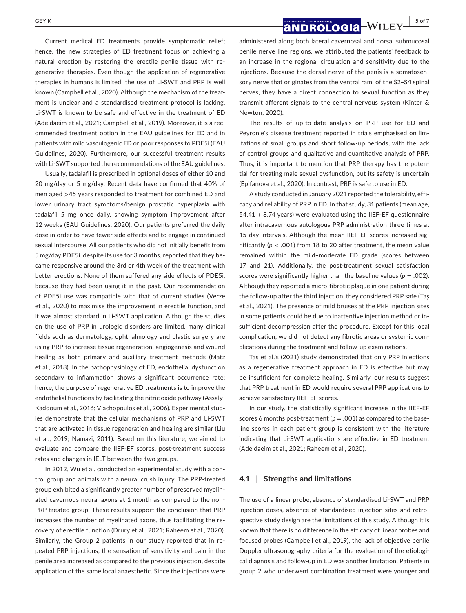Current medical ED treatments provide symptomatic relief; hence, the new strategies of ED treatment focus on achieving a natural erection by restoring the erectile penile tissue with regenerative therapies. Even though the application of regenerative therapies in humans is limited, the use of Li-SWT and PRP is well known (Campbell et al., 2020). Although the mechanism of the treatment is unclear and a standardised treatment protocol is lacking, Li-SWT is known to be safe and effective in the treatment of ED (Adeldaeim et al., 2021; Campbell et al., 2019). Moreover, it is a recommended treatment option in the EAU guidelines for ED and in patients with mild vasculogenic ED or poor responses to PDE5i (EAU Guidelines, 2020). Furthermore, our successful treatment results with Li-SWT supported the recommendations of the EAU guidelines.

Usually, tadalafil is prescribed in optional doses of either 10 and 20 mg/day or 5 mg/day. Recent data have confirmed that 40% of men aged >45 years responded to treatment for combined ED and lower urinary tract symptoms/benign prostatic hyperplasia with tadalafil 5 mg once daily, showing symptom improvement after 12 weeks (EAU Guidelines, 2020). Our patients preferred the daily dose in order to have fewer side effects and to engage in continued sexual intercourse. All our patients who did not initially benefit from 5 mg/day PDE5i, despite its use for 3 months, reported that they became responsive around the 3rd or 4th week of the treatment with better erections. None of them suffered any side effects of PDE5i, because they had been using it in the past. Our recommendation of PDE5i use was compatible with that of current studies (Verze et al., 2020) to maximise the improvement in erectile function, and it was almost standard in Li-SWT application. Although the studies on the use of PRP in urologic disorders are limited, many clinical fields such as dermatology, ophthalmology and plastic surgery are using PRP to increase tissue regeneration, angiogenesis and wound healing as both primary and auxiliary treatment methods (Matz et al., 2018). In the pathophysiology of ED, endothelial dysfunction secondary to inflammation shows a significant occurrence rate; hence, the purpose of regenerative ED treatments is to improve the endothelial functions by facilitating the nitric oxide pathway (Assaly-Kaddoum et al., 2016; Vlachopoulos et al., 2006). Experimental studies demonstrate that the cellular mechanisms of PRP and Li-SWT that are activated in tissue regeneration and healing are similar (Liu et al., 2019; Namazi, 2011). Based on this literature, we aimed to evaluate and compare the IIEF-EF scores, post-treatment success rates and changes in IELT between the two groups.

In 2012, Wu et al. conducted an experimental study with a control group and animals with a neural crush injury. The PRP-treated group exhibited a significantly greater number of preserved myelinated cavernous neural axons at 1 month as compared to the non-PRP-treated group. These results support the conclusion that PRP increases the number of myelinated axons, thus facilitating the recovery of erectile function (Drury et al., 2021; Raheem et al., 2020). Similarly, the Group 2 patients in our study reported that in repeated PRP injections, the sensation of sensitivity and pain in the penile area increased as compared to the previous injection, despite application of the same local anaesthetic. Since the injections were

 **<b>a NDROLOGIA** WILEY  $\frac{1}{5}$  of 7

administered along both lateral cavernosal and dorsal submucosal penile nerve line regions, we attributed the patients' feedback to an increase in the regional circulation and sensitivity due to the injections. Because the dorsal nerve of the penis is a somatosensory nerve that originates from the ventral rami of the S2–S4 spinal nerves, they have a direct connection to sexual function as they transmit afferent signals to the central nervous system (Kinter & Newton, 2020).

The results of up-to-date analysis on PRP use for ED and Peyronie's disease treatment reported in trials emphasised on limitations of small groups and short follow-up periods, with the lack of control groups and qualitative and quantitative analysis of PRP. Thus, it is important to mention that PRP therapy has the potential for treating male sexual dysfunction, but its safety is uncertain (Epifanova et al., 2020). In contrast, PRP is safe to use in ED.

A study conducted in January 2021 reported the tolerability, efficacy and reliability of PRP in ED. In that study, 31 patients (mean age, 54.41  $\pm$  8.74 years) were evaluated using the IIEF-EF questionnaire after intracavernous autologous PRP administration three times at 15-day intervals. Although the mean IIEF-EF scores increased significantly (*p* < .001) from 18 to 20 after treatment, the mean value remained within the mild–moderate ED grade (scores between 17 and 21). Additionally, the post-treatment sexual satisfaction scores were significantly higher than the baseline values ( $p = .002$ ). Although they reported a micro-fibrotic plaque in one patient during the follow-up after the third injection, they considered PRP safe (Taş et al., 2021). The presence of mild bruises at the PRP injection sites in some patients could be due to inattentive injection method or insufficient decompression after the procedure. Except for this local complication, we did not detect any fibrotic areas or systemic complications during the treatment and follow-up examinations.

Taş et al.'s (2021) study demonstrated that only PRP injections as a regenerative treatment approach in ED is effective but may be insufficient for complete healing. Similarly, our results suggest that PRP treatment in ED would require several PRP applications to achieve satisfactory IIEF-EF scores.

In our study, the statistically significant increase in the IIEF-EF scores 6 months post-treatment ( $p = .001$ ) as compared to the baseline scores in each patient group is consistent with the literature indicating that Li-SWT applications are effective in ED treatment (Adeldaeim et al., 2021; Raheem et al., 2020).

# **4.1** | **Strengths and limitations**

The use of a linear probe, absence of standardised Li-SWT and PRP injection doses, absence of standardised injection sites and retrospective study design are the limitations of this study. Although it is known that there is no difference in the efficacy of linear probes and focused probes (Campbell et al., 2019), the lack of objective penile Doppler ultrasonography criteria for the evaluation of the etiological diagnosis and follow-up in ED was another limitation. Patients in group 2 who underwent combination treatment were younger and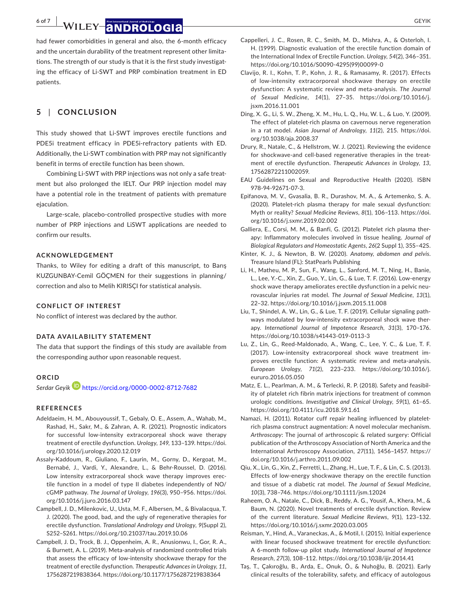**6 of 7 | WILEY ANDROLOGIA** *GEYIK* **GEYIK** 

had fewer comorbidities in general and also, the 6-month efficacy and the uncertain durability of the treatment represent other limitations. The strength of our study is that it is the first study investigating the efficacy of Li-SWT and PRP combination treatment in ED patients.

# **5** | **CONCLUSION**

This study showed that Li-SWT improves erectile functions and PDE5i treatment efficacy in PDE5i-refractory patients with ED. Additionally, the Li-SWT combination with PRP may not significantly benefit in terms of erectile function has been shown.

Combining Li-SWT with PRP injections was not only a safe treatment but also prolonged the IELT. Our PRP injection model may have a potential role in the treatment of patients with premature ejaculation.

Large-scale, placebo-controlled prospective studies with more number of PRP injections and LiSWT applications are needed to confirm our results.

## **ACKNOWLEDGEMENT**

Thanks, to Wiley for editing a draft of this manuscript, to Barış KUZGUNBAY-Cemil GÖÇMEN for their suggestions in planning/ correction and also to Melih KIRISÇI for statistical analysis.

#### **CONFLICT OF INTEREST**

No conflict of interest was declared by the author.

#### **DATA AVAILABILITY STATEMENT**

The data that support the findings of this study are available from the corresponding author upon reasonable request.

# **ORCID**

*Serdar Geyik* <https://orcid.org/0000-0002-8712-7682>

#### **REFERENCES**

- Adeldaeim, H. M., Abouyoussif, T., Gebaly, O. E., Assem, A., Wahab, M., Rashad, H., Sakr, M., & Zahran, A. R. (2021). Prognostic indicators for successful low-intensity extracorporeal shock wave therapy treatment of erectile dysfunction. *Urology*, *149*, 133–139. [https://doi.](https://doi.org/10.1016/j.urology.2020.12.019) [org/10.1016/j.urology.2020.12.019](https://doi.org/10.1016/j.urology.2020.12.019)
- Assaly-Kaddoum, R., Giuliano, F., Laurin, M., Gorny, D., Kergoat, M., Bernabé, J., Vardi, Y., Alexandre, L., & Behr-Roussel, D. (2016). Low intensity extracorporeal shock wave therapy improves erectile function in a model of type II diabetes independently of NO/ cGMP pathway. *The Journal of Urology*, *196*(3), 950–956. [https://doi.](https://doi.org/10.1016/j.juro.2016.03.147) [org/10.1016/j.juro.2016.03.147](https://doi.org/10.1016/j.juro.2016.03.147)
- Campbell, J. D., Milenkovic, U., Usta, M. F., Albersen, M., & Bivalacqua, T. J. (2020). The good, bad, and the ugly of regenerative therapies for erectile dysfunction. *Translational Andrology and Urology*, *9*(Suppl 2), S252–S261. <https://doi.org/10.21037/tau.2019.10.06>
- Campbell, J. D., Trock, B. J., Oppenheim, A. R., Anusionwu, I., Gor, R. A., & Burnett, A. L. (2019). Meta-analysis of randomized controlled trials that assess the efficacy of low-intensity shockwave therapy for the treatment of erectile dysfunction. *Therapeutic Advances in Urology*, *11*, 1756287219838364.<https://doi.org/10.1177/1756287219838364>
- Cappelleri, J. C., Rosen, R. C., Smith, M. D., Mishra, A., & Osterloh, I. H. (1999). Diagnostic evaluation of the erectile function domain of the International Index of Erectile Function. *Urology*, *54*(2), 346–351. [https://doi.org/10.1016/S0090-4295\(99\)00099-0](https://doi.org/10.1016/S0090-4295(99)00099-0)
- Clavijo, R. I., Kohn, T. P., Kohn, J. R., & Ramasamy, R. (2017). Effects of low-intensity extracorporeal shockwave therapy on erectile dysfunction: A systematic review and meta-analysis. *The Journal of Sexual Medicine*, *14*(1), 27–35. [https://doi.org/10.1016/j.](https://doi.org/10.1016/j.jsxm.2016.11.001) [jsxm.2016.11.001](https://doi.org/10.1016/j.jsxm.2016.11.001)
- Ding, X. G., Li, S. W., Zheng, X. M., Hu, L. Q., Hu, W. L., & Luo, Y. (2009). The effect of platelet-rich plasma on cavernous nerve regeneration in a rat model. *Asian Journal of Andrology*, *11*(2), 215. [https://doi.](https://doi.org/10.1038/aja.2008.37) [org/10.1038/aja.2008.37](https://doi.org/10.1038/aja.2008.37)
- Drury, R., Natale, C., & Hellstrom, W. J. (2021). Reviewing the evidence for shockwave-and cell-based regenerative therapies in the treatment of erectile dysfunction. *Therapeutic Advances in Urology*, *13*, 17562872211002059.
- EAU Guidelines on Sexual and Reproductive Health (2020). ISBN 978-94-92671-07-3.
- Epifanova, M. V., Gvasalia, B. R., Durashov, M. A., & Artemenko, S. A. (2020). Platelet-rich plasma therapy for male sexual dysfunction: Myth or reality? *Sexual Medicine Reviews*, *8*(1), 106–113. [https://doi.](https://doi.org/10.1016/j.sxmr.2019.02.002) [org/10.1016/j.sxmr.2019.02.002](https://doi.org/10.1016/j.sxmr.2019.02.002)
- Galliera, E., Corsi, M. M., & Banfi, G. (2012). Platelet rich plasma therapy: Inflammatory molecules involved in tissue healing. *Journal of Biological Regulators and Homeostatic Agents*, *26*(2 Suppl 1), 35S–42S.
- Kinter, K. J., & Newton, B. W. (2020). *Anatomy, abdomen and pelvis*. Treasure Island (FL): StatPearls Publishing
- Li, H., Matheu, M. P., Sun, F., Wang, L., Sanford, M. T., Ning, H., Banie, L., Lee, Y.-C., Xin, Z., Guo, Y., Lin, G., & Lue, T. F. (2016). Low-energy shock wave therapy ameliorates erectile dysfunction in a pelvic neurovascular injuries rat model. *The Journal of Sexual Medicine*, *13*(1), 22–32. <https://doi.org/10.1016/j.jsxm.2015.11.008>
- Liu, T., Shindel, A. W., Lin, G., & Lue, T. F. (2019). Cellular signaling pathways modulated by low-intensity extracorporeal shock wave therapy. *International Journal of Impotence Research*, *31*(3), 170–176. <https://doi.org/10.1038/s41443-019-0113-3>
- Lu, Z., Lin, G., Reed-Maldonado, A., Wang, C., Lee, Y. C., & Lue, T. F. (2017). Low-intensity extracorporeal shock wave treatment improves erectile function: A systematic review and meta-analysis. *European Urology*, *71*(2), 223–233. [https://doi.org/10.1016/j.](https://doi.org/10.1016/j.eururo.2016.05.050) [eururo.2016.05.050](https://doi.org/10.1016/j.eururo.2016.05.050)
- Matz, E. L., Pearlman, A. M., & Terlecki, R. P. (2018). Safety and feasibility of platelet rich fibrin matrix injections for treatment of common urologic conditions. *Investigative and Clinical Urology*, *59*(1), 61–65. <https://doi.org/10.4111/icu.2018.59.1.61>
- Namazi, H. (2011). Rotator cuff repair healing influenced by plateletrich plasma construct augmentation: A novel molecular mechanism. *Arthroscopy*: The journal of arthroscopic & related surgery: Official publication of the Arthroscopy Association of North America and the International Arthroscopy Association, *27*(11), 1456–1457. [https://](https://doi.org/10.1016/j.arthro.2011.09.002) [doi.org/10.1016/j.arthro.2011.09.002](https://doi.org/10.1016/j.arthro.2011.09.002)
- Qiu, X., Lin, G., Xin, Z., Ferretti, L., Zhang, H., Lue, T. F., & Lin, C. S. (2013). Effects of low-energy shockwave therapy on the erectile function and tissue of a diabetic rat model. *The Journal of Sexual Medicine*, *10*(3), 738–746.<https://doi.org/10.1111/jsm.12024>
- Raheem, O. A., Natale, C., Dick, B., Reddy, A. G., Yousif, A., Khera, M., & Baum, N. (2020). Novel treatments of erectile dysfunction. Review of the current literature. *Sexual Medicine Reviews*, *9*(1), 123–132. <https://doi.org/10.1016/j.sxmr.2020.03.005>
- Reisman, Y., Hind, A., Varaneckas, A., & Motil, I. (2015). Initial experience with linear focused shockwave treatment for erectile dysfunction: A 6-month follow-up pilot study. *International Journal of Impotence Research*, *27*(3), 108–112. <https://doi.org/10.1038/ijir.2014.41>
- Taş, T., Çakıroğlu, B., Arda, E., Onuk, Ö., & Nuhoğlu, B. (2021). Early clinical results of the tolerability, safety, and efficacy of autologous